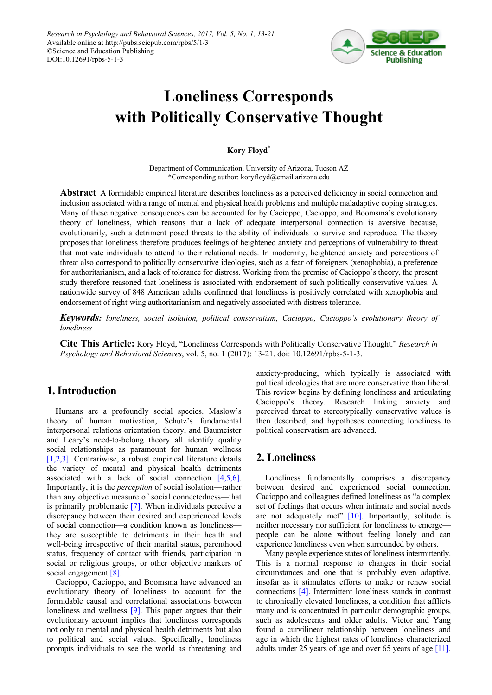

# **Loneliness Corresponds with Politically Conservative Thought**

### **Kory Floyd\***

Department of Communication, University of Arizona, Tucson AZ \*Corresponding author: koryfloyd@email.arizona.edu

**Abstract** A formidable empirical literature describes loneliness as a perceived deficiency in social connection and inclusion associated with a range of mental and physical health problems and multiple maladaptive coping strategies. Many of these negative consequences can be accounted for by Cacioppo, Cacioppo, and Boomsma's evolutionary theory of loneliness, which reasons that a lack of adequate interpersonal connection is aversive because, evolutionarily, such a detriment posed threats to the ability of individuals to survive and reproduce. The theory proposes that loneliness therefore produces feelings of heightened anxiety and perceptions of vulnerability to threat that motivate individuals to attend to their relational needs. In modernity, heightened anxiety and perceptions of threat also correspond to politically conservative ideologies, such as a fear of foreigners (xenophobia), a preference for authoritarianism, and a lack of tolerance for distress. Working from the premise of Cacioppo's theory, the present study therefore reasoned that loneliness is associated with endorsement of such politically conservative values. A nationwide survey of 848 American adults confirmed that loneliness is positively correlated with xenophobia and endorsement of right-wing authoritarianism and negatively associated with distress tolerance.

*Keywords: loneliness, social isolation, political conservatism, Cacioppo, Cacioppo's evolutionary theory of loneliness*

**Cite This Article:** Kory Floyd, "Loneliness Corresponds with Politically Conservative Thought." *Research in Psychology and Behavioral Sciences*, vol. 5, no. 1 (2017): 13-21. doi: 10.12691/rpbs-5-1-3.

# **1. Introduction**

Humans are a profoundly social species. Maslow's theory of human motivation, Schutz's fundamental interpersonal relations orientation theory, and Baumeister and Leary's need-to-belong theory all identify quality social relationships as paramount for human wellness [\[1,2,3\].](#page-6-0) Contrariwise, a robust empirical literature details the variety of mental and physical health detriments associated with a lack of social connection [\[4,5,6\].](#page-6-1) Importantly, it is the *perception* of social isolation—rather than any objective measure of social connectedness—that is primarily problematic [\[7\].](#page-6-2) When individuals perceive a discrepancy between their desired and experienced levels of social connection—a condition known as loneliness they are susceptible to detriments in their health and well-being irrespective of their marital status, parenthood status, frequency of contact with friends, participation in social or religious groups, or other objective markers of social engagement [\[8\].](#page-6-3)

Cacioppo, Cacioppo, and Boomsma have advanced an evolutionary theory of loneliness to account for the formidable causal and correlational associations between loneliness and wellness [\[9\].](#page-6-4) This paper argues that their evolutionary account implies that loneliness corresponds not only to mental and physical health detriments but also to political and social values. Specifically, loneliness prompts individuals to see the world as threatening and anxiety-producing, which typically is associated with political ideologies that are more conservative than liberal. This review begins by defining loneliness and articulating Cacioppo's theory. Research linking anxiety and perceived threat to stereotypically conservative values is then described, and hypotheses connecting loneliness to political conservatism are advanced.

# **2. Loneliness**

Loneliness fundamentally comprises a discrepancy between desired and experienced social connection. Cacioppo and colleagues defined loneliness as "a complex set of feelings that occurs when intimate and social needs are not adequately met"  $[10]$ . Importantly, solitude is neither necessary nor sufficient for loneliness to emerge people can be alone without feeling lonely and can experience loneliness even when surrounded by others.

Many people experience states of loneliness intermittently. This is a normal response to changes in their social circumstances and one that is probably even adaptive, insofar as it stimulates efforts to make or renew social connections [\[4\].](#page-6-1) Intermittent loneliness stands in contrast to chronically elevated loneliness, a condition that afflicts many and is concentrated in particular demographic groups, such as adolescents and older adults. Victor and Yang found a curvilinear relationship between loneliness and age in which the highest rates of loneliness characterized adults under 25 years of age and over 65 years of ag[e \[11\].](#page-6-6)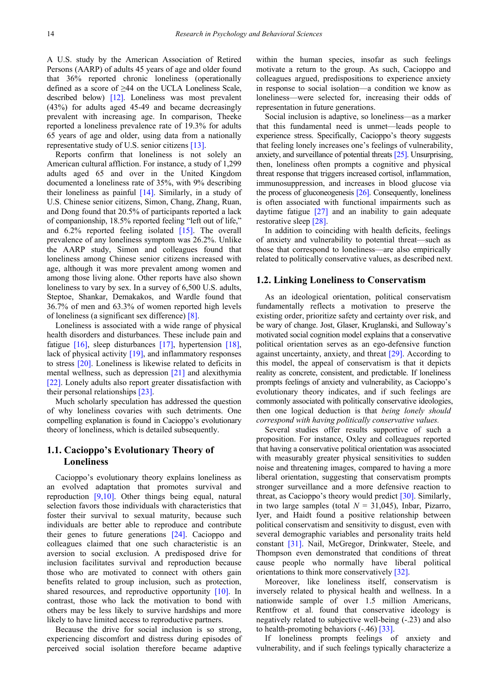A U.S. study by the American Association of Retired Persons (AARP) of adults 45 years of age and older found that 36% reported chronic loneliness (operationally defined as a score of ≥44 on the UCLA Loneliness Scale, described below) [\[12\].](#page-6-7) Loneliness was most prevalent (43%) for adults aged 45-49 and became decreasingly prevalent with increasing age. In comparison, Theeke reported a loneliness prevalence rate of 19.3% for adults 65 years of age and older, using data from a nationally representative study of U.S. senior citizen[s \[13\].](#page-6-8)

Reports confirm that loneliness is not solely an American cultural affliction. For instance, a study of 1,299 adults aged 65 and over in the United Kingdom documented a loneliness rate of 35%, with 9% describing their loneliness as painful  $[14]$ . Similarly, in a study of U.S. Chinese senior citizens, Simon, Chang, Zhang, Ruan, and Dong found that 20.5% of participants reported a lack of companionship, 18.5% reported feeling "left out of life," and 6.2% reported feeling isolated [\[15\].](#page-6-10) The overall prevalence of any loneliness symptom was 26.2%. Unlike the AARP study, Simon and colleagues found that loneliness among Chinese senior citizens increased with age, although it was more prevalent among women and among those living alone. Other reports have also shown loneliness to vary by sex. In a survey of 6,500 U.S. adults, Steptoe, Shankar, Demakakos, and Wardle found that 36.7% of men and 63.3% of women reported high levels of loneliness (a significant sex difference) [\[8\].](#page-6-3)

Loneliness is associated with a wide range of physical health disorders and disturbances. These include pain and fatigue [\[16\],](#page-7-0) sleep disturbances [\[17\],](#page-7-1) hypertension [\[18\],](#page-7-2) lack of physical activity [\[19\],](#page-7-3) and inflammatory responses to stress [\[20\].](#page-7-4) Loneliness is likewise related to deficits in mental wellness, such as depression [\[21\]](#page-7-5) and alexithymia [\[22\].](#page-7-6) Lonely adults also report greater dissatisfaction with their personal relationship[s \[23\].](#page-7-7)

Much scholarly speculation has addressed the question of why loneliness covaries with such detriments. One compelling explanation is found in Cacioppo's evolutionary theory of loneliness, which is detailed subsequently.

### **1.1. Cacioppo's Evolutionary Theory of Loneliness**

Cacioppo's evolutionary theory explains loneliness as an evolved adaptation that promotes survival and reproduction [\[9,10\].](#page-6-4) Other things being equal, natural selection favors those individuals with characteristics that foster their survival to sexual maturity, because such individuals are better able to reproduce and contribute their genes to future generations [\[24\].](#page-7-8) Cacioppo and colleagues claimed that one such characteristic is an aversion to social exclusion. A predisposed drive for inclusion facilitates survival and reproduction because those who are motivated to connect with others gain benefits related to group inclusion, such as protection, shared resources, and reproductive opportunity [\[10\].](#page-6-5) In contrast, those who lack the motivation to bond with others may be less likely to survive hardships and more likely to have limited access to reproductive partners.

Because the drive for social inclusion is so strong, experiencing discomfort and distress during episodes of perceived social isolation therefore became adaptive within the human species, insofar as such feelings motivate a return to the group. As such, Cacioppo and colleagues argued, predispositions to experience anxiety in response to social isolation—a condition we know as loneliness—were selected for, increasing their odds of representation in future generations.

Social inclusion is adaptive, so loneliness—as a marker that this fundamental need is unmet—leads people to experience stress. Specifically, Cacioppo's theory suggests that feeling lonely increases one's feelings of vulnerability, anxiety, and surveillance of potential threats [\[25\].](#page-7-9) Unsurprising, then, loneliness often prompts a cognitive and physical threat response that triggers increased cortisol, inflammation, immunosuppression, and increases in blood glucose via the process of gluconeogenesis [\[26\].](#page-7-10) Consequently, loneliness is often associated with functional impairments such as daytime fatigue [\[27\]](#page-7-11) and an inability to gain adequate restorative sleep [\[28\].](#page-7-12)

In addition to coinciding with health deficits, feelings of anxiety and vulnerability to potential threat—such as those that correspond to loneliness—are also empirically related to politically conservative values, as described next.

#### **1.2. Linking Loneliness to Conservatism**

As an ideological orientation, political conservatism fundamentally reflects a motivation to preserve the existing order, prioritize safety and certainty over risk, and be wary of change. Jost, Glaser, Kruglanski, and Sulloway's motivated social cognition model explains that a conservative political orientation serves as an ego-defensive function against uncertainty, anxiety, and threat [\[29\].](#page-7-13) According to this model, the appeal of conservatism is that it depicts reality as concrete, consistent, and predictable. If loneliness prompts feelings of anxiety and vulnerability, as Cacioppo's evolutionary theory indicates, and if such feelings are commonly associated with politically conservative ideologies, then one logical deduction is that *being lonely should correspond with having politically conservative values.*

Several studies offer results supportive of such a proposition. For instance, Oxley and colleagues reported that having a conservative political orientation was associated with measurably greater physical sensitivities to sudden noise and threatening images, compared to having a more liberal orientation, suggesting that conservatism prompts stronger surveillance and a more defensive reaction to threat, as Cacioppo's theory would predict [\[30\].](#page-7-14) Similarly, in two large samples (total  $N = 31,045$ ), Inbar, Pizarro, Iyer, and Haidt found a positive relationship between political conservatism and sensitivity to disgust, even with several demographic variables and personality traits held constant [\[31\].](#page-7-15) Nail, McGregor, Drinkwater, Steele, and Thompson even demonstrated that conditions of threat cause people who normally have liberal political orientations to think more conservatively [\[32\].](#page-7-16)

Moreover, like loneliness itself, conservatism is inversely related to physical health and wellness. In a nationwide sample of over 1.5 million Americans, Rentfrow et al. found that conservative ideology is negatively related to subjective well-being (-.23) and also to health-promoting behaviors (-.46) [\[33\].](#page-7-17)

If loneliness prompts feelings of anxiety and vulnerability, and if such feelings typically characterize a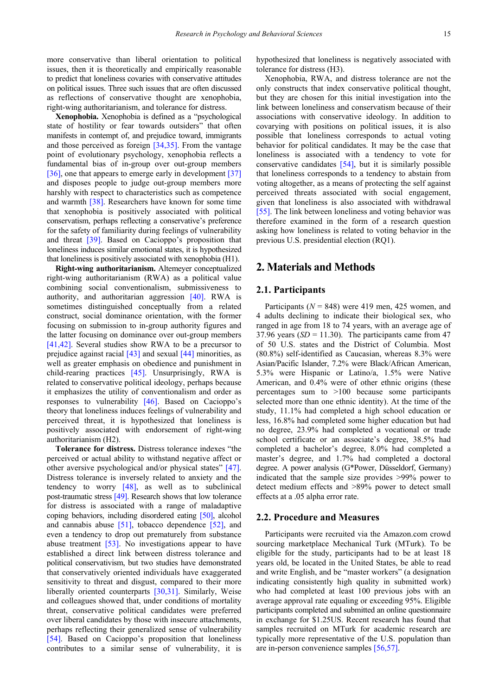more conservative than liberal orientation to political issues, then it is theoretically and empirically reasonable to predict that loneliness covaries with conservative attitudes on political issues. Three such issues that are often discussed as reflections of conservative thought are xenophobia, right-wing authoritarianism, and tolerance for distress.

**Xenophobia.** Xenophobia is defined as a "psychological state of hostility or fear towards outsiders" that often manifests in contempt of, and prejudice toward, immigrants and those perceived as foreign [\[34,35\].](#page-7-18) From the vantage point of evolutionary psychology, xenophobia reflects a fundamental bias of in-group over out-group members [\[36\],](#page-7-19) one that appears to emerge early in development [\[37\]](#page-7-20) and disposes people to judge out-group members more harshly with respect to characteristics such as competence and warmth [\[38\].](#page-7-21) Researchers have known for some time that xenophobia is positively associated with political conservatism, perhaps reflecting a conservative's preference for the safety of familiarity during feelings of vulnerability and threat [\[39\].](#page-7-22) Based on Cacioppo's proposition that loneliness induces similar emotional states, it is hypothesized that loneliness is positively associated with xenophobia (H1).

**Right-wing authoritarianism.** Altemeyer conceptualized right-wing authoritarianism (RWA) as a political value combining social conventionalism, submissiveness to authority, and authoritarian aggression [\[40\].](#page-7-23) RWA is sometimes distinguished conceptually from a related construct, social dominance orientation, with the former focusing on submission to in-group authority figures and the latter focusing on dominance over out-group members [\[41,42\].](#page-7-24) Several studies show RWA to be a precursor to prejudice against racial [\[43\]](#page-7-25) and sexual [\[44\]](#page-7-26) minorities, as well as greater emphasis on obedience and punishment in child-rearing practices [\[45\].](#page-7-27) Unsurprisingly, RWA is related to conservative political ideology, perhaps because it emphasizes the utility of conventionalism and order as responses to vulnerability [\[46\].](#page-7-28) Based on Cacioppo's theory that loneliness induces feelings of vulnerability and perceived threat, it is hypothesized that loneliness is positively associated with endorsement of right-wing authoritarianism (H2).

**Tolerance for distress.** Distress tolerance indexes "the perceived or actual ability to withstand negative affect or other aversive psychological and/or physical states" [\[47\].](#page-7-29) Distress tolerance is inversely related to anxiety and the tendency to worry [\[48\],](#page-7-30) as well as to subclinical post-traumatic stress [\[49\].](#page-7-31) Research shows that low tolerance for distress is associated with a range of maladaptive coping behaviors, including disordered eating [\[50\],](#page-7-32) alcohol and cannabis abuse [\[51\],](#page-7-33) tobacco dependence [\[52\],](#page-7-34) and even a tendency to drop out prematurely from substance abuse treatment [\[53\].](#page-7-35) No investigations appear to have established a direct link between distress tolerance and political conservativism, but two studies have demonstrated that conservatively oriented individuals have exaggerated sensitivity to threat and disgust, compared to their more liberally oriented counterparts [\[30,31\].](#page-7-14) Similarly, Weise and colleagues showed that, under conditions of mortality threat, conservative political candidates were preferred over liberal candidates by those with insecure attachments, perhaps reflecting their generalized sense of vulnerability [\[54\].](#page-7-36) Based on Cacioppo's proposition that loneliness contributes to a similar sense of vulnerability, it is hypothesized that loneliness is negatively associated with tolerance for distress (H3).

Xenophobia, RWA, and distress tolerance are not the only constructs that index conservative political thought, but they are chosen for this initial investigation into the link between loneliness and conservatism because of their associations with conservative ideology. In addition to covarying with positions on political issues, it is also possible that loneliness corresponds to actual voting behavior for political candidates. It may be the case that loneliness is associated with a tendency to vote for conservative candidates [\[54\],](#page-7-36) but it is similarly possible that loneliness corresponds to a tendency to abstain from voting altogether, as a means of protecting the self against perceived threats associated with social engagement, given that loneliness is also associated with withdrawal [\[55\].](#page-7-37) The link between loneliness and voting behavior was therefore examined in the form of a research question asking how loneliness is related to voting behavior in the previous U.S. presidential election (RQ1).

# **2. Materials and Methods**

#### **2.1. Participants**

Participants ( $N = 848$ ) were 419 men, 425 women, and 4 adults declining to indicate their biological sex, who ranged in age from 18 to 74 years, with an average age of 37.96 years  $(SD = 11.30)$ . The participants came from 47 of 50 U.S. states and the District of Columbia. Most (80.8%) self-identified as Caucasian, whereas 8.3% were Asian/Pacific Islander, 7.2% were Black/African American, 5.3% were Hispanic or Latino/a, 1.5% were Native American, and 0.4% were of other ethnic origins (these percentages sum to >100 because some participants selected more than one ethnic identity). At the time of the study, 11.1% had completed a high school education or less, 16.8% had completed some higher education but had no degree, 23.9% had completed a vocational or trade school certificate or an associate's degree, 38.5% had completed a bachelor's degree, 8.0% had completed a master's degree, and 1.7% had completed a doctoral degree. A power analysis (G\*Power, Düsseldorf, Germany) indicated that the sample size provides >99% power to detect medium effects and >89% power to detect small effects at a .05 alpha error rate.

#### **2.2. Procedure and Measures**

Participants were recruited via the Amazon.com crowd sourcing marketplace Mechanical Turk (MTurk). To be eligible for the study, participants had to be at least 18 years old, be located in the United States, be able to read and write English, and be "master workers" (a designation indicating consistently high quality in submitted work) who had completed at least 100 previous jobs with an average approval rate equaling or exceeding 95%. Eligible participants completed and submitted an online questionnaire in exchange for \$1.25US. Recent research has found that samples recruited on MTurk for academic research are typically more representative of the U.S. population than are in-person convenience samples [\[56,57\].](#page-7-38)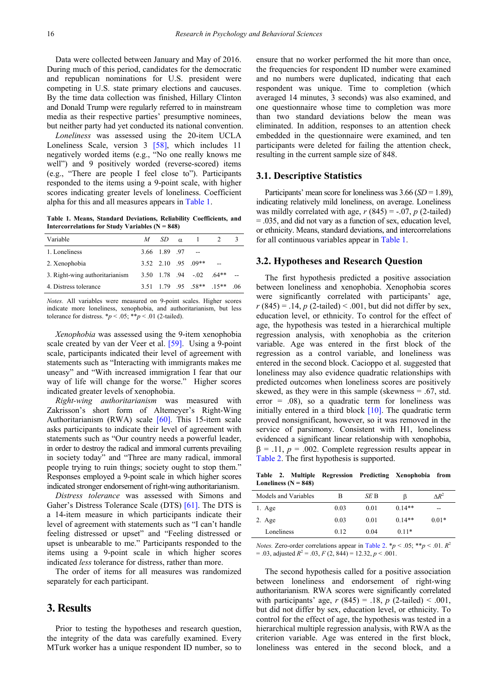Data were collected between January and May of 2016. During much of this period, candidates for the democratic and republican nominations for U.S. president were competing in U.S. state primary elections and caucuses. By the time data collection was finished, Hillary Clinton and Donald Trump were regularly referred to in mainstream media as their respective parties' presumptive nominees, but neither party had yet conducted its national convention.

*Loneliness* was assessed using the 20-item UCLA Loneliness Scale, version 3 [\[58\],](#page-8-0) which includes 11 negatively worded items (e.g., "No one really knows me well") and 9 positively worded (reverse-scored) items (e.g., "There are people I feel close to"). Participants responded to the items using a 9-point scale, with higher scores indicating greater levels of loneliness. Coefficient alpha for this and all measures appears in [Table 1.](#page-3-0)

**Table 1. Means, Standard Deviations, Reliability Coefficients, and Intercorrelations for Study Variables (N = 848)**

<span id="page-3-0"></span>

|  |                |                                                                      | -06                                                  |
|--|----------------|----------------------------------------------------------------------|------------------------------------------------------|
|  | M <sub>a</sub> | $SD \alpha \quad 1$<br>$3.66$ $1.89$ $.97$ --<br>$3,52,2,10,95,09**$ | $3.50$ 1.78 94 - 02 64**<br>$3.51$ 1.79 95 58** 15** |

*Notes.* All variables were measured on 9-point scales. Higher scores indicate more loneliness, xenophobia, and authoritarianism, but less tolerance for distress.  $\frac{p}{\ }0.05; \frac{p}{\ }0.01$  (2-tailed).

*Xenophobia* was assessed using the 9-item xenophobia scale created by van der Veer et al. [\[59\].](#page-8-1) Using a 9-point scale, participants indicated their level of agreement with statements such as "Interacting with immigrants makes me uneasy" and "With increased immigration I fear that our way of life will change for the worse." Higher scores indicated greater levels of xenophobia.

*Right-wing authoritarianism* was measured with Zakrisson's short form of Altemeyer's Right-Wing Authoritarianism (RWA) scale [\[60\].](#page-8-2) This 15-item scale asks participants to indicate their level of agreement with statements such as "Our country needs a powerful leader, in order to destroy the radical and immoral currents prevailing in society today" and "Three are many radical, immoral people trying to ruin things; society ought to stop them." Responses employed a 9-point scale in which higher scores indicated stronger endorsement of right-wing authoritarianism.

*Distress tolerance* was assessed with Simons and Gaher's Distress Tolerance Scale (DTS) [\[61\].](#page-8-3) The DTS is a 14-item measure in which participants indicate their level of agreement with statements such as "I can't handle feeling distressed or upset" and "Feeling distressed or upset is unbearable to me." Participants responded to the items using a 9-point scale in which higher scores indicated *less* tolerance for distress, rather than more.

The order of items for all measures was randomized separately for each participant.

## **3. Results**

Prior to testing the hypotheses and research question, the integrity of the data was carefully examined. Every MTurk worker has a unique respondent ID number, so to ensure that no worker performed the hit more than once, the frequencies for respondent ID number were examined and no numbers were duplicated, indicating that each respondent was unique. Time to completion (which averaged 14 minutes, 3 seconds) was also examined, and one questionnaire whose time to completion was more than two standard deviations below the mean was eliminated. In addition, responses to an attention check embedded in the questionnaire were examined, and ten participants were deleted for failing the attention check, resulting in the current sample size of 848.

#### **3.1. Descriptive Statistics**

Participants' mean score for loneliness was 3.66 (*SD* = 1.89), indicating relatively mild loneliness, on average. Loneliness was mildly correlated with age,  $r(845) = -.07$ ,  $p(2$ -tailed) = .035, and did not vary as a function of sex, education level, or ethnicity. Means, standard deviations, and intercorrelations for all continuous variables appear in [Table 1.](#page-3-0)

#### **3.2. Hypotheses and Research Question**

The first hypothesis predicted a positive association between loneliness and xenophobia. Xenophobia scores were significantly correlated with participants' age,  $r(845) = .14$ ,  $p(2$ -tailed) < .001, but did not differ by sex, education level, or ethnicity. To control for the effect of age, the hypothesis was tested in a hierarchical multiple regression analysis, with xenophobia as the criterion variable. Age was entered in the first block of the regression as a control variable, and loneliness was entered in the second block. Cacioppo et al. suggested that loneliness may also evidence quadratic relationships with predicted outcomes when loneliness scores are positively skewed, as they were in this sample (skewness = .67, std. error  $= .08$ ), so a quadratic term for loneliness was initially entered in a third block [\[10\].](#page-6-5) The quadratic term proved nonsignificant, however, so it was removed in the service of parsimony. Consistent with H1, loneliness evidenced a significant linear relationship with xenophobia,  $\beta = 0.11$ ,  $p = 0.002$ . Complete regression results appear in [Table 2.](#page-3-1) The first hypothesis is supported.

**Table 2. Multiple Regression Predicting Xenophobia from Loneliness (N = 848)**

<span id="page-3-1"></span>

| Models and Variables | В    | SE B | ß        | $\Delta R^2$ |
|----------------------|------|------|----------|--------------|
| 1. Age               | 0.03 | 0.01 | $0.14**$ | --           |
| $2. \text{Age}$      | 0.03 | 0.01 | $0.14**$ | $0.01*$      |
| Loneliness           | 0.12 | 0.04 | $0.11*$  |              |

*Notes.* Zero-order correlations appear in [Table 2.](#page-3-1) \**p* < .05; \*\**p* < .01.  $R^2$  $= .03$ , adjusted  $R^2 = .03$ ,  $F(2, 844) = 12.32$ ,  $p < .001$ .

The second hypothesis called for a positive association between loneliness and endorsement of right-wing authoritarianism. RWA scores were significantly correlated with participants' age,  $r(845) = .18$ ,  $p(2$ -tailed) < .001, but did not differ by sex, education level, or ethnicity. To control for the effect of age, the hypothesis was tested in a hierarchical multiple regression analysis, with RWA as the criterion variable. Age was entered in the first block, loneliness was entered in the second block, and a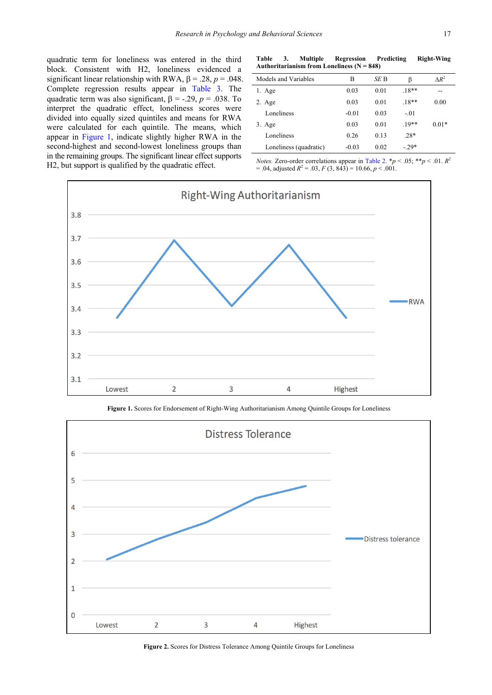quadratic term for loneliness was entered in the third block. Consistent with H2, loneliness evidenced a significant linear relationship with RWA,  $\beta = .28$ ,  $p = .048$ . Complete regression results appear in [Table 3.](#page-4-0) The quadratic term was also significant,  $\beta$  = -.29, *p* = .038. To interpret the quadratic effect, loneliness scores were divided into equally sized quintiles and means for RWA were calculated for each quintile. The means, which appear in [Figure 1,](#page-4-1) indicate slightly higher RWA in the second-highest and second-lowest loneliness groups than in the remaining groups. The significant linear effect supports H2, but support is qualified by the quadratic effect.

**Table 3. Multiple Regression Predicting Right-Wing Authoritarianism from Loneliness (N = 848)**

<span id="page-4-0"></span>

| Models and Variables   | В       | SE B | β       | $\Lambda R^2$ |
|------------------------|---------|------|---------|---------------|
| 1. Age                 | 0.03    | 0.01 | $.18**$ | --            |
| 2. Age                 | 0.03    | 0.01 | $.18**$ | 0.00          |
| Loneliness             | $-0.01$ | 0.03 | $-.01$  |               |
| $3. \text{Age}$        | 0.03    | 0.01 | $19**$  | $0.01*$       |
| Loneliness             | 0.26    | 0.13 | $.28*$  |               |
| Loneliness (quadratic) | $-0.03$ | 0.02 | $-29*$  |               |

*Notes.* Zero-order correlations appear in [Table 2.](#page-3-1) \* $p < .05$ ; \*\* $p < .01$ .  $R^2$  $= .04$ , adjusted  $R^2 = .03$ ,  $F(3, 843) = 10.66$ ,  $p < .001$ .

<span id="page-4-1"></span>

**Figure 1.** Scores for Endorsement of Right-Wing Authoritarianism Among Quintile Groups for Loneliness

<span id="page-4-2"></span>

**Figure 2.** Scores for Distress Tolerance Among Quintile Groups for Loneliness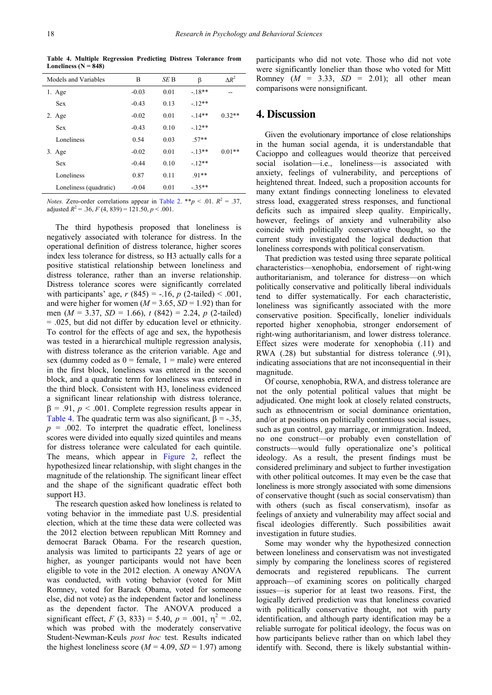<span id="page-5-0"></span>

| Models and Variables   | B       | SE B | β       | $\Lambda R^2$ |
|------------------------|---------|------|---------|---------------|
| $1. \text{Age}$        | $-0.03$ | 0.01 | $-18**$ | --            |
| <b>Sex</b>             | $-0.43$ | 0.13 | $-12**$ |               |
| 2. Age                 | $-0.02$ | 0.01 | $-14**$ | $0.32**$      |
| <b>Sex</b>             | $-0.43$ | 0.10 | $-12**$ |               |
| Loneliness             | 0.54    | 0.03 | $.57**$ |               |
| 3. Age                 | $-0.02$ | 0.01 | $-13**$ | $0.01**$      |
| <b>Sex</b>             | $-0.44$ | 0.10 | $-12**$ |               |
| Loneliness             | 0.87    | 0.11 | $.91**$ |               |
| Loneliness (quadratic) | $-0.04$ | 0.01 | $-35**$ |               |

**Table 4. Multiple Regression Predicting Distress Tolerance from Loneliness (N = 848)**

*Notes.* Zero-order correlations appear in [Table 2.](#page-3-1) \*\**p* < .01.  $R^2 = .37$ , adjusted  $R^2 = .36$ ,  $F(4, 839) = 121.50$ ,  $p < .001$ .

The third hypothesis proposed that loneliness is negatively associated with tolerance for distress. In the operational definition of distress tolerance, higher scores index less tolerance for distress, so H3 actually calls for a positive statistical relationship between loneliness and distress tolerance, rather than an inverse relationship. Distress tolerance scores were significantly correlated with participants' age,  $r(845) = -.16$ ,  $p(2-tailed) < .001$ , and were higher for women ( $M = 3.65$ ,  $SD = 1.92$ ) than for men (*M* = 3.37, *SD* = 1.66), *t* (842) = 2.24, *p* (2-tailed) = .025, but did not differ by education level or ethnicity. To control for the effects of age and sex, the hypothesis was tested in a hierarchical multiple regression analysis, with distress tolerance as the criterion variable. Age and sex (dummy coded as  $0 = \text{female}, 1 = \text{male}$ ) were entered in the first block, loneliness was entered in the second block, and a quadratic term for loneliness was entered in the third block. Consistent with H3, loneliness evidenced a significant linear relationship with distress tolerance,  $\beta = .91$ ,  $p < .001$ . Complete regression results appear in [Table 4.](#page-5-0) The quadratic term was also significant,  $\beta = -0.35$ ,  $p = .002$ . To interpret the quadratic effect, loneliness scores were divided into equally sized quintiles and means for distress tolerance were calculated for each quintile. The means, which appear in [Figure 2,](#page-4-2) reflect the hypothesized linear relationship, with slight changes in the magnitude of the relationship. The significant linear effect and the shape of the significant quadratic effect both support H3.

The research question asked how loneliness is related to voting behavior in the immediate past U.S. presidential election, which at the time these data were collected was the 2012 election between republican Mitt Romney and democrat Barack Obama. For the research question, analysis was limited to participants 22 years of age or higher, as younger participants would not have been eligible to vote in the 2012 election. A oneway ANOVA was conducted, with voting behavior (voted for Mitt Romney, voted for Barack Obama, voted for someone else, did not vote) as the independent factor and loneliness as the dependent factor. The ANOVA produced a significant effect,  $F(3, 833) = 5.40$ ,  $p = .001$ ,  $\eta^2 = .02$ , which was probed with the moderately conservative Student-Newman-Keuls *post hoc* test. Results indicated the highest loneliness score ( $M = 4.09$ ,  $SD = 1.97$ ) among

participants who did not vote. Those who did not vote were significantly lonelier than those who voted for Mitt Romney  $(M = 3.33, SD = 2.01)$ ; all other mean comparisons were nonsignificant.

## **4. Discussion**

Given the evolutionary importance of close relationships in the human social agenda, it is understandable that Cacioppo and colleagues would theorize that perceived social isolation—i.e., loneliness—is associated with anxiety, feelings of vulnerability, and perceptions of heightened threat. Indeed, such a proposition accounts for many extant findings connecting loneliness to elevated stress load, exaggerated stress responses, and functional deficits such as impaired sleep quality. Empirically, however, feelings of anxiety and vulnerability also coincide with politically conservative thought, so the current study investigated the logical deduction that loneliness corresponds with political conservatism.

That prediction was tested using three separate political characteristics—xenophobia, endorsement of right-wing authoritarianism, and tolerance for distress—on which politically conservative and politically liberal individuals tend to differ systematically. For each characteristic, loneliness was significantly associated with the more conservative position. Specifically, lonelier individuals reported higher xenophobia, stronger endorsement of right-wing authoritarianism, and lower distress tolerance. Effect sizes were moderate for xenophobia (.11) and RWA (.28) but substantial for distress tolerance (.91), indicating associations that are not inconsequential in their magnitude.

Of course, xenophobia, RWA, and distress tolerance are not the only potential political values that might be adjudicated. One might look at closely related constructs, such as ethnocentrism or social dominance orientation, and/or at positions on politically contentious social issues, such as gun control, gay marriage, or immigration. Indeed, no one construct—or probably even constellation of constructs—would fully operationalize one's political ideology. As a result, the present findings must be considered preliminary and subject to further investigation with other political outcomes. It may even be the case that loneliness is more strongly associated with some dimensions of conservative thought (such as social conservatism) than with others (such as fiscal conservatism), insofar as feelings of anxiety and vulnerability may affect social and fiscal ideologies differently. Such possibilities await investigation in future studies.

Some may wonder why the hypothesized connection between loneliness and conservatism was not investigated simply by comparing the loneliness scores of registered democrats and registered republicans. The current approach—of examining scores on politically charged issues—is superior for at least two reasons. First, the logically derived prediction was that loneliness covaried with politically conservative thought, not with party identification, and although party identification may be a reliable surrogate for political ideology, the focus was on how participants believe rather than on which label they identify with. Second, there is likely substantial within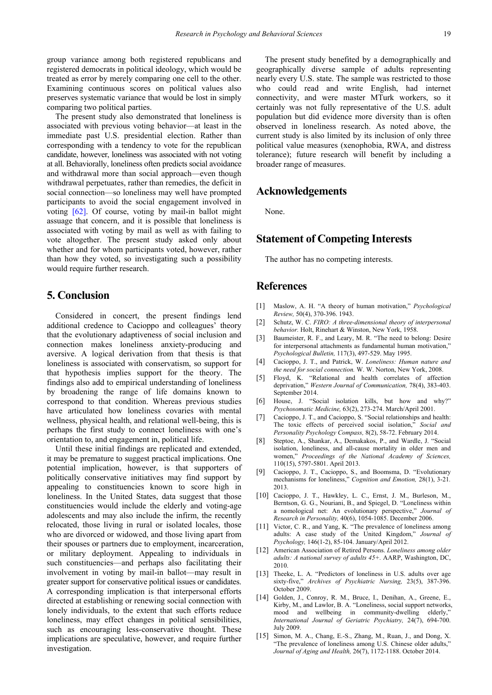group variance among both registered republicans and registered democrats in political ideology, which would be treated as error by merely comparing one cell to the other. Examining continuous scores on political values also preserves systematic variance that would be lost in simply comparing two political parties.

The present study also demonstrated that loneliness is associated with previous voting behavior—at least in the immediate past U.S. presidential election. Rather than corresponding with a tendency to vote for the republican candidate, however, loneliness was associated with not voting at all. Behaviorally, loneliness often predicts social avoidance and withdrawal more than social approach—even though withdrawal perpetuates, rather than remedies, the deficit in social connection—so loneliness may well have prompted participants to avoid the social engagement involved in voting [\[62\].](#page-8-4) Of course, voting by mail-in ballot might assuage that concern, and it is possible that loneliness is associated with voting by mail as well as with failing to vote altogether. The present study asked only about whether and for whom participants voted, however, rather than how they voted, so investigating such a possibility would require further research.

## **5. Conclusion**

Considered in concert, the present findings lend additional credence to Cacioppo and colleagues' theory that the evolutionary adaptiveness of social inclusion and connection makes loneliness anxiety-producing and aversive. A logical derivation from that thesis is that loneliness is associated with conservatism, so support for that hypothesis implies support for the theory. The findings also add to empirical understanding of loneliness by broadening the range of life domains known to correspond to that condition. Whereas previous studies have articulated how loneliness covaries with mental wellness, physical health, and relational well-being, this is perhaps the first study to connect loneliness with one's orientation to, and engagement in, political life.

Until these initial findings are replicated and extended, it may be premature to suggest practical implications. One potential implication, however, is that supporters of politically conservative initiatives may find support by appealing to constituencies known to score high in loneliness. In the United States, data suggest that those constituencies would include the elderly and voting-age adolescents and may also include the infirm, the recently relocated, those living in rural or isolated locales, those who are divorced or widowed, and those living apart from their spouses or partners due to employment, incarceration, or military deployment. Appealing to individuals in such constituencies—and perhaps also facilitating their involvement in voting by mail-in ballot—may result in greater support for conservative political issues or candidates. A corresponding implication is that interpersonal efforts directed at establishing or renewing social connection with lonely individuals, to the extent that such efforts reduce loneliness, may effect changes in political sensibilities, such as encouraging less-conservative thought. These implications are speculative, however, and require further investigation.

The present study benefited by a demographically and geographically diverse sample of adults representing nearly every U.S. state. The sample was restricted to those who could read and write English, had internet connectivity, and were master MTurk workers, so it certainly was not fully representative of the U.S. adult population but did evidence more diversity than is often observed in loneliness research. As noted above, the current study is also limited by its inclusion of only three political value measures (xenophobia, RWA, and distress tolerance); future research will benefit by including a broader range of measures.

## **Acknowledgements**

None.

# **Statement of Competing Interests**

The author has no competing interests.

# **References**

- <span id="page-6-0"></span>[1] Maslow, A. H. "A theory of human motivation," *Psychological Review,* 50(4), 370-396. 1943.
- [2] Schutz, W. C. *FIRO: A three-dimensional theory of interpersonal behavior.* Holt, Rinehart & Winston, New York, 1958.
- [3] Baumeister, R. F., and Leary, M. R. "The need to belong: Desire for interpersonal attachments as fundamental human motivation, *Psychological Bulletin,* 117(3), 497-529. May 1995.
- <span id="page-6-1"></span>[4] Cacioppo, J. T., and Patrick, W. *Loneliness: Human nature and the need for social connection.* W. W. Norton, New York, 2008.
- [5] Floyd, K. "Relational and health correlates of affection deprivation," *Western Journal of Communication,* 78(4), 383-403. September 2014.
- [6] House, J. "Social isolation kills, but how and why?" *Psychosomatic Medicine,* 63(2), 273-274. March/April 2001.
- <span id="page-6-2"></span>[7] Cacioppo, J. T., and Cacioppo, S. "Social relationships and health: The toxic effects of perceived social isolation," *Social and Personality Psychology Compass,* 8(2), 58-72. February 2014.
- <span id="page-6-3"></span>[8] Steptoe, A., Shankar, A., Demakakos, P., and Wardle, J. "Social isolation, loneliness, and all-cause mortality in older men and women," *Proceedings of the National Academy of Sciences,*  110(15), 5797-5801. April 2013.
- <span id="page-6-4"></span>[9] Cacioppo, J. T., Cacioppo, S., and Boomsma, D. "Evolutionary mechanisms for loneliness," *Cognition and Emotion,* 28(1), 3-21*.* 2013.
- <span id="page-6-5"></span>[10] Cacioppo, J. T., Hawkley, L. C., Ernst, J. M., Burleson, M., Berntson, G. G., Nouriani, B., and Spiegel, D. "Loneliness within a nomological net: An evolutionary perspective," *Journal of Research in Personality,* 40(6), 1054-1085. December 2006.
- <span id="page-6-6"></span>[11] Victor, C. R., and Yang, K. "The prevalence of loneliness among adults: A case study of the United Kingdom," *Journal of Psychology,* 146(1-2), 85-104. January/April 2012.
- <span id="page-6-7"></span>[12] American Association of Retired Persons. *Loneliness among older adults: A national survey of adults 45+.* AARP, Washington, DC, 2010.
- <span id="page-6-8"></span>[13] Theeke, L. A. "Predictors of loneliness in U.S. adults over age sixty-five," *Archives of Psychiatric Nursing,* 23(5), 387-396. October 2009.
- <span id="page-6-9"></span>[14] Golden, J., Conroy, R. M., Bruce, I., Denihan, A., Greene, E., Kirby, M., and Lawlor, B. A. "Loneliness, social support networks, mood and wellbeing in community-dwelling elderly," *International Journal of Geriatric Psychiatry,* 24(7), 694-700. July 2009.
- <span id="page-6-10"></span>[15] Simon, M. A., Chang, E.-S., Zhang, M., Ruan, J., and Dong, X. "The prevalence of loneliness among U.S. Chinese older adults," *Journal of Aging and Health,* 26(7), 1172-1188. October 2014.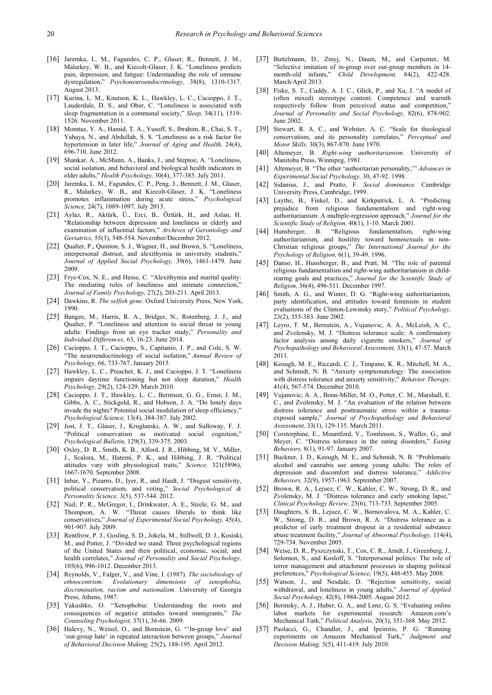- <span id="page-7-0"></span>[16] Jaremka, L. M., Fagundes, C. P., Glaser, R., Bennett, J. M., Malarkey, W. B., and Kiecolt-Glaser, J. K. "Loneliness predicts pain, depression, and fatigue: Understanding the role of immune dysregulation," *Psychoneuroendocrinology,* 38(8), 1310-1317. August 2013.
- <span id="page-7-1"></span>[17] Kurina, L. M., Knutson, K. L., Hawkley, L. C., Cacioppo, J. T., Lauderdale, D. S., and Ober, C. "Loneliness is associated with sleep fragmentation in a communal society," *Sleep,* 34(11), 1519- 1526. November 2011.
- <span id="page-7-2"></span>[18] Momtaz, Y. A., Hamid, T. A., Yusoff, S., Ibrahim, R., Chai, S. T., Yahaya, N., and Abdullah, S. S. "Loneliness as a risk factor for hypertension in later life," *Journal of Aging and Health,* 24(4), 696-710. June 2012.
- <span id="page-7-3"></span>[19] Shankar, A., McMunn, A., Banks, J., and Steptoe, A. "Loneliness, social isolation, and behavioral and biological health indicators in older adults," *Health Psychology,* 30(4), 377-385. July 2011.
- <span id="page-7-4"></span>[20] Jaremka, L. M., Fagundes, C. P., Peng, J., Bennett, J. M., Glaser, R., Malarkey, W. B., and Kiecolt-Glaser, J. K. "Loneliness promotes inflammation during acute stress," *Psychological Science,* 24(7), 1089-1097. July 2013.
- <span id="page-7-5"></span>[21] Aylaz, R., Aktürk, Ü., Erci, B., Öztürk, H., and Aslan, H. "Relationship between depression and loneliness in elderly and examination of influential factors," *Archives of Gerontology and Geriatrics,* 55(3), 548-554. November/December 2012.
- <span id="page-7-6"></span>[22] Oualter, P., Ouinton, S. J., Wagner, H., and Brown, S. "Loneliness, interpersonal distrust, and alexithymia in university students,' *Journal of Applied Social Psychology,* 39(6), 1461-1479. June 2009.
- <span id="page-7-7"></span>[23] Frye-Cox, N. E., and Hesse, C. "Alexithymia and marital quality: The mediating roles of loneliness and intimate connection," *Journal of Family Psychology,* 27(2), 203-211. April 2013.
- <span id="page-7-8"></span>[24] Dawkins, R. *The selfish gene*. Oxford University Press, New York, 1990.
- <span id="page-7-9"></span>[25] Bangee, M., Harris, R. A., Bridger, N., Rotenberg, J. J., and Qualter, P. "Loneliness and attention to social threat in young adults: Findings from an eye tracker study," *Personality and Individual Differences,* 63, 16-23. June 2014.
- <span id="page-7-10"></span>[26] Cacioppo, J. T., Cacioppo, S., Capitanio, J. P., and Cole, S. W. "The neuroendocrinology of social isolation," *Annual Review of Psychology,* 66, 733-767. January 2015.
- <span id="page-7-11"></span>[27] Hawkley, L. C., Preacher, K. J., and Cacioppo, J. T. "Loneliness impairs daytime functioning but not sleep duration," *Health Psychology,* 29(2), 124-129. March 2010.
- <span id="page-7-12"></span>[28] Cacioppo, J. T., Hawkley, L. C., Berntson, G. G., Ernst, J. M., Gibbs, A. C., Stickgold, R., and Hobson, J. A. "Do lonely days invade the nights? Potential social modulation of sleep efficiency.' *Psychological Science,* 13(4), 384-387. July 2002.
- <span id="page-7-13"></span>[29] Jost, J. T., Glaser, J., Kruglanski, A. W., and Sulloway, F. J. "Political conservatism as motivated social cognition," *Psychological Bulletin,* 129(3), 339-375. 2003.
- <span id="page-7-14"></span>[30] Oxley, D. R., Smith, K. B., Alford, J. R., Hibbing, M. V., Miller, J., Scalora, M., Hatemi, P. K., and Hibbing, J. R. "Political attitudes vary with physiological traits," *Science,* 321(5896), 1667-1670. September 2008.
- <span id="page-7-15"></span>[31] Inbar, Y., Pizarro, D., Iyer, R., and Haidt, J. "Disgust sensitivity, political conservatism, and voting," *Social Psychological & Personality Science,* 3(5), 537-544. 2012.
- <span id="page-7-16"></span>[32] Nail, P. R., McGregor, I., Drinkwater, A. E., Steele, G. M., and Thompson, A. W. "Threat causes liberals to think like conservatives," *Journal of Experimental Social Psychology,* 45(4), 901-907. July 2009.
- <span id="page-7-17"></span>[33] Rentfrow, P. J., Gosling, S. D., Jokela, M., Stillwell, D. J., Kosiski, M., and Potter, J. "Divided we stand: Three psychological regions of the United States and their political, economic, social, and health correlates," *Journal of Personality and Social Psychology,*  105(6), 996-1012. December 2013.
- <span id="page-7-18"></span>[34] Reynolds, V., Falger, V., and Vine, I. (1987). *The sociobiology of ethnocentrism: Evolutionary dimensions of xenophobia, discrimination, racism and nationalism.* University of Georgia Press, Athens, 1987.
- [35] Yakushko, O. "Xenophobia: Understanding the roots and consequences of negative attitudes toward immigrants," *The Counseling Psychologist,* 37(1), 36-66. 2009.
- <span id="page-7-19"></span>[36] Halevy, N., Weisel, O., and Bornstein, G. "'In-group love' and 'out-group hate' in repeated interaction between groups," *Journal of Behavioral Decision Making,* 25(2), 188-195. April 2012.
- <span id="page-7-20"></span>[37] Buttelmann, D., Zmyj, N., Daum, M., and Carpenter, M. "Selective imitation of in-group over out-group members in 14 month-old infants," *Child Development,* 84(2), 422-428. March/April 2013.
- <span id="page-7-21"></span>[38] Fiske, S. T., Cuddy, A. J. C., Glick, P., and Xu, J. "A model of (often mixed) stereotype content: Competence and warmth respectively follow from perceived status and competition," *Journal of Personality and Social Psychology,* 82(6), 878-902. June 2002.
- <span id="page-7-22"></span>[39] Stewart, R. A. C., and Webster, A. C. "Scale for theological conservatism, and its personality correlates," *Perceptual and Motor Skills,* 30(3), 867-870. June 1970.
- <span id="page-7-23"></span>[40] Altemeyer, B. *Right-wing authoritarianism.* University of Manitoba Press, Winnipeg, 1981.
- <span id="page-7-24"></span>[41] Altemeyer, B. "The other 'authoritarian personality,'" *Advances in Experimental Social Psychology,* 30, 47-92. 1998.
- [42] Sidanius, J., and Pratto, F. *Social dominance.* Cambridge University Press, Cambridge, 1999.
- <span id="page-7-25"></span>[43] Laythe, B., Finkel, D., and Kirkpatrick, L. A. "Predicting prejudice from religious fundamentalism and right-wing authoritarianism: A multiple-regression approach," *Journal for the Scientific Study of Religion,* 40(1), 1-10. March 2001.
- <span id="page-7-26"></span>[44] Hunsberger, B. "Religious fundamentalism, right-wing authoritarianism, and hostility toward homosexuals in non-Christian religious groups," *The International Journal for the Psychology of Religion,* 6(1), 39-49. 1996.
- <span id="page-7-27"></span>[45] Danso, H., Hunsberger, B., and Pratt, M. "The role of parental religious fundamentalism and right-wing authoritarianism in childrearing goals and practices," *Journal for the Scientific Study of Religion,* 36(4), 496-511. December 1997.
- <span id="page-7-28"></span>[46] Smith, A. G., and Winter, D. G. "Right-wing authoritarianism, party identification, and attitudes toward feminism in student evaluations of the Clinton-Lewinsky story," *Political Psychology,*  23(2), 355-383. June 2002.
- <span id="page-7-29"></span>[47] Leyro, T. M., Bernstein, A., Vujanovic, A. A., McLeish, A. C., and Zvolensky, M. J. "Distress tolerance scale: A confirmatory factor analysis among daily cigarette smokers," *Journal of Psychopathology and Behavioral Assessment,* 33(1), 47-57. March 2011.
- <span id="page-7-30"></span>[48] Keough, M. E., Riccardi, C. J., Timpano, K. R., Mitchell, M. A., and Schmidt, N. B. "Anxiety symptomatology: The association with distress tolerance and anxiety sensitivity," *Behavior Therapy,*  41(4), 567-574. December 2010.
- <span id="page-7-31"></span>[49] Vujanovic, A. A., Bonn-Miller, M. O., Potter, C. M., Marshall, E. C., and Zvolensky, M. J. "An evaluation of the relation between distress tolerance and posttraumatic stress within a traumaexposed sample," *Journal of Psychopathology and Behavioral Assessment,* 33(1), 129-135. March 2011.
- <span id="page-7-32"></span>[50] Corstorphine, E., Mountford, V., Tomlinson, S., Waller, G., and Meyer, C. "Distress tolerance in the eating disorders," *Eating Behaviors,* 8(1), 91-97. January 2007.
- <span id="page-7-33"></span>[51] Buckner, J. D., Keough, M. E., and Schmidt, N. B. "Problematic alcohol and cannabis use among young adults: The roles of depression and discomfort and distress tolerance," *Addictive Behaviors,* 32(9), 1957-1963. September 2007.
- <span id="page-7-34"></span>[52] Brown, R. A., Lejuez, C. W., Kahler, C. W., Strong, D. R., and Zvolensky, M. J. "Distress tolerance and early smoking lapse." *Clinical Psychology Review,* 25(6), 713-733. September 2005.
- <span id="page-7-35"></span>[53] Daughters, S. B., Lejuez, C. W., Bornovalova, M. A., Kahler, C. W., Strong, D. R., and Brown, R. A. "Distress tolerance as a predictor of early treatment dropout in a residential substance abuse treatment facility," *Journal of Abnormal Psychology,* 114(4), 729-734. November 2005.
- <span id="page-7-36"></span>[54] Weise, D. R., Pyszczynski, T., Cox, C. R., Arndt, J., Greenberg, J., Solomon, S., and Kosloff, S. "Interpersonal politics: The role of terror management and attachment processes in shaping political preferences," *Psychological Science,* 19(5), 448-455. May 2008.
- <span id="page-7-37"></span>[55] Watson, J., and Nesdale, D. "Rejection sensitivity, social withdrawal, and loneliness in young adults," *Journal of Applied Social Psychology,* 42(8), 1984-2005. August 2012.
- <span id="page-7-38"></span>[56] Berinsky, A. J., Huber, G. A., and Lenz, G. S. "Evaluating online labor markets for experimental research: Amazon.com's Mechanical Turk," *Political Analysis,* 20(3), 351-368. May 2012.
- [57] Paolacci, G., Chandler, J., and Ipeirotis, P. G. "Running experiments on Amazon Mechanical Turk," *Judgment and Decision Making,* 5(5), 411-419. July 2010.